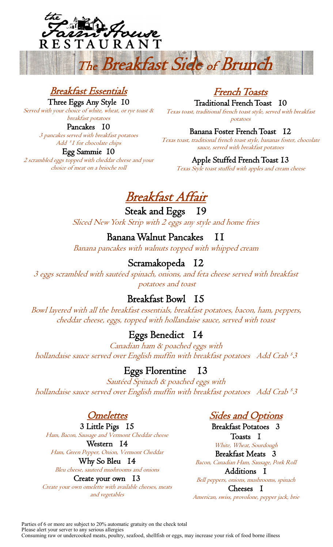

## Breakfast Essentials

Three Eggs Any Style 10

Served with your choice of white, wheat, or rye toast & breakfast potatoes

Pancakes 10

3 pancakes served with breakfast potatoes Add \$ 1 for chocolate chips

Egg Sammie 10

2 scrambled eggs topped with cheddar cheese and your choice of meat on a brioche roll

# French Toasts

Traditional French Toast 10 Texas toast, traditional french toast style, served with breakfast potatoes

Banana Foster French Toast 12

Texas toast, traditional french toast style, bananas foster, chocolate sauce, served with breakfast potatoes

Apple Stuffed French Toast 13

Texas Style toast stuffed with apples and cream cheese

# Breakfast Affair

Steak and Eggs 19 Sliced New York Strip with 2 eggs any style and home fries

Banana Walnut Pancakes 11 Banana pancakes with walnuts topped with whipped cream

# Scramakopeda 12

3 eggs scrambled with sautéed spinach, onions, and feta cheese served with breakfast potatoes and toast

# Breakfast Bowl 15

Bowl layered with all the breakfast essentials, breakfast potatoes, bacon, ham, peppers, cheddar cheese, eggs, topped with hollandaise sauce, served with toast

# Eggs Benedict 14

Canadian ham & poached eggs with hollandaise sauce served over English muffin with breakfast potatoes Add Crab  $^{\mathcal{\text{s}}\mathcal{\text{3}}}$ 

## Eggs Florentine 13

Sautéed Spinach & poached eggs with hollandaise sauce served over English muffin with breakfast potatoes Add Crab  $^{\mathcal{\text{s}}\mathcal{\text{3}}}$ 

**Omelettes** 

3 Little Pigs 15 Ham, Bacon, Sausage and Vermont Cheddar cheese Western 14 Ham, Green Pepper, Onion, Vermont Cheddar

Why So Bleu 14 Bleu cheese, sauteed mushrooms and onions Create your own 13

Create your own omelette with available cheeses, meats and vegetables

**Sides and Options** 

Breakfast Potatoes 3 Toasts 1 White, Wheat, Sourdough Breakfast Meats 3 Bacon, Canadian Ham, Sausage, Pork Roll Additions 1 Bell peppers, onions, mushrooms, spinach Cheeses 1 American, swiss, provolone, pepper jack, brie